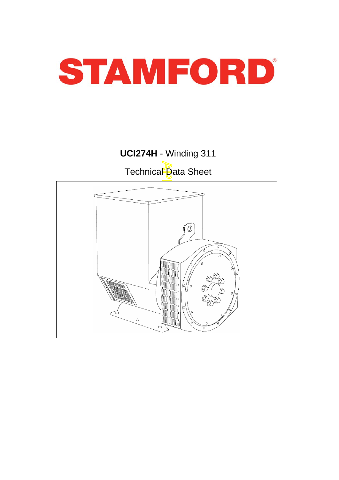

# **UCI274H** - Winding 311 Technical Data Sheet

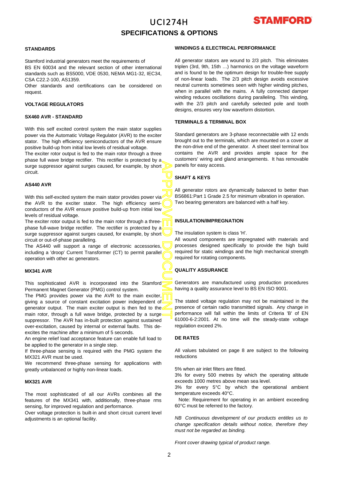# UCI274H **SPECIFICATIONS & OPTIONS**



#### **STANDARDS**

Stamford industrial generators meet the requirements of BS EN 60034 and the relevant section of other international standards such as BS5000, VDE 0530, NEMA MG1-32, IEC34, CSA C22.2-100, AS1359.

Other standards and certifications can be considered on request.

#### **VOLTAGE REGULATORS**

#### **SX460 AVR - STANDARD**

With this self excited control system the main stator supplies power via the Automatic Voltage Regulator (AVR) to the excite r stator. The high efficiency semiconductors of the AVR ensure positive build-up from initial low levels of residual voltage.

The exciter rotor output is fed to the main rotor through a three phase full wave bridge rectifier. This rectifier is protected by a surge suppressor against surges caused, for example, by short circuit.

#### **AS440 AVR**

APPROVED DOCUMENT With this self-excited system the main stator provides power via the AVR to the exciter stator. The high efficiency semiconductors of the AVR ensure positive build-up from initial low levels of residual voltage.

The exciter rotor output is fed to the main rotor through a threephase full-wave bridge rectifier. The rectifier is protected by a surge suppressor against surges caused, for example, by short circuit or out-of-phase paralleling.

The AS440 will support a range of electronic accessories, including a 'droop' Current Transformer (CT) to permit parallel operation with other ac generators.

#### **MX341 AVR**

This sophisticated AVR is incorporated into the Stamford Permanent Magnet Generator (PMG) control system.

The PMG provides power via the AVR to the main exciter, giving a source of constant excitation power independent o f generator output. The main exciter output is then fed to the main rotor, through a full wave bridge, protected by a surge suppressor. The AVR has in-built protection against sustained over-excitation, caused by internal or external faults. This deexcites the machine after a minimum of 5 seconds.

An engine relief load acceptance feature can enable full load to be applied to the generator in a single step.

If three-phase sensing is required with the PMG system the MX321 AVR must be used.

We recommend three-phase sensing for applications with greatly unbalanced or highly non-linear loads.

#### **MX321 AVR**

The most sophisticated of all our AVRs combines all the features of the MX341 with, additionally, three-phase rms sensing, for improved regulation and performance.

Over voltage protection is built-in and short circuit current level adjustments is an optional facility.

#### **WINDINGS & ELECTRICAL PERFORMANCE**

All generator stators are wound to 2/3 pitch. This eliminates triplen (3rd, 9th, 15th …) harmonics on the voltage waveform and is found to be the optimum design for trouble-free supply of non-linear loads. The 2/3 pitch design avoids excessive neutral currents sometimes seen with higher winding pitches, when in parallel with the mains. A fully connected damper winding reduces oscillations during paralleling. This winding, with the 2/3 pitch and carefully selected pole and tooth designs, ensures very low waveform distortion.

#### **TERMINALS & TERMINAL BOX**

Standard generators are 3-phase reconnectable with 12 ends brought out to the terminals, which are mounted on a cover at the non-drive end of the generator. A sheet steel terminal box contains the AVR and provides ample space for the customers' wiring and gland arrangements. It has removable panels for easy access.

#### **SHAFT & KEYS**

All generator rotors are dynamically balanced to better than BS6861:Part 1 Grade 2.5 for minimum vibration in operation. Two bearing generators are balanced with a half key.

#### **INSULATION/IMPREGNATION**

The insulation system is class 'H'.

All wound components are impregnated with materials and processes designed specifically to provide the high build required for static windings and the high mechanical strength required for rotating components.

#### **QUALITY ASSURANCE**

Generators are manufactured using production procedures having a quality assurance level to BS EN ISO 9001.

The stated voltage regulation may not be maintained in the presence of certain radio transmitted signals. Any change in performance will fall within the limits of Criteria 'B' of EN 61000-6-2:2001. At no time will the steady-state voltage regulation exceed 2%.

#### **DE RATES**

All values tabulated on page 8 are subject to the following reductions

5% when air inlet filters are fitted.

3% for every 500 metres by which the operating altitude exceeds 1000 metres above mean sea level.

3% for every 5°C by which the operational ambient temperature exceeds 40°C.

Note: Requirement for operating in an ambient exceeding 60°C must be referred to the factory.

*NB Continuous development of our products entitles us to change specification details without notice, therefore they must not be regarded as binding.* 

*Front cover drawing typical of product range.*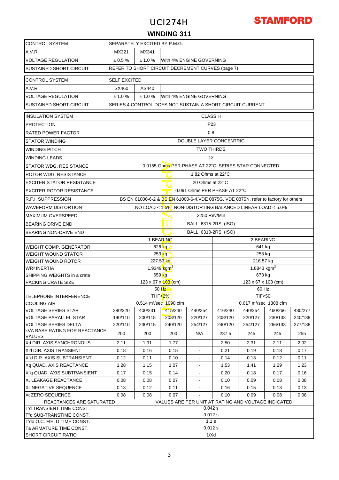# UCI274H



### **WINDING 311**

| <b>CONTROL SYSTEM</b>                                   | SEPARATELY EXCITED BY P.M.G.                     |                                              |                                                                                      |                      |                              |                                          |         |         |  |
|---------------------------------------------------------|--------------------------------------------------|----------------------------------------------|--------------------------------------------------------------------------------------|----------------------|------------------------------|------------------------------------------|---------|---------|--|
| A.V.R.                                                  | MX341<br>MX321                                   |                                              |                                                                                      |                      |                              |                                          |         |         |  |
| <b>VOLTAGE REGULATION</b>                               | ± 0.5 %<br>± 1.0 %<br>With 4% ENGINE GOVERNING   |                                              |                                                                                      |                      |                              |                                          |         |         |  |
| <b>SUSTAINED SHORT CIRCUIT</b>                          | REFER TO SHORT CIRCUIT DECREMENT CURVES (page 7) |                                              |                                                                                      |                      |                              |                                          |         |         |  |
|                                                         |                                                  |                                              |                                                                                      |                      |                              |                                          |         |         |  |
| <b>CONTROL SYSTEM</b>                                   | <b>SELF EXCITED</b>                              |                                              |                                                                                      |                      |                              |                                          |         |         |  |
| A.V.R.                                                  | SX460<br>AS440                                   |                                              |                                                                                      |                      |                              |                                          |         |         |  |
| <b>VOLTAGE REGULATION</b>                               | ± 1.0%<br>± 1.0%<br>With 4% ENGINE GOVERNING     |                                              |                                                                                      |                      |                              |                                          |         |         |  |
| <b>SUSTAINED SHORT CIRCUIT</b>                          |                                                  |                                              | SERIES 4 CONTROL DOES NOT SUSTAIN A SHORT CIRCUIT CURRENT                            |                      |                              |                                          |         |         |  |
| <b>INSULATION SYSTEM</b>                                |                                                  |                                              |                                                                                      | <b>CLASS H</b>       |                              |                                          |         |         |  |
| <b>PROTECTION</b>                                       |                                                  |                                              |                                                                                      | IP <sub>23</sub>     |                              |                                          |         |         |  |
| <b>RATED POWER FACTOR</b>                               |                                                  |                                              |                                                                                      | 0.8                  |                              |                                          |         |         |  |
| <b>STATOR WINDING</b>                                   |                                                  |                                              |                                                                                      |                      | DOUBLE LAYER CONCENTRIC      |                                          |         |         |  |
|                                                         |                                                  |                                              |                                                                                      | <b>TWO THIRDS</b>    |                              |                                          |         |         |  |
| <b>WINDING PITCH</b>                                    |                                                  |                                              |                                                                                      |                      |                              |                                          |         |         |  |
| <b>WINDING LEADS</b>                                    |                                                  |                                              |                                                                                      | 12                   |                              |                                          |         |         |  |
| <b>STATOR WDG, RESISTANCE</b>                           |                                                  |                                              | 0.0155 Ohms PER PHASE AT 22°C SERIES STAR CONNECTED                                  |                      |                              |                                          |         |         |  |
| ROTOR WDG, RESISTANCE                                   |                                                  |                                              |                                                                                      | 1.82 Ohms at 22°C    |                              |                                          |         |         |  |
| <b>EXCITER STATOR RESISTANCE</b>                        |                                                  |                                              |                                                                                      | 20 Ohms at 22°C      |                              |                                          |         |         |  |
| <b>EXCITER ROTOR RESISTANCE</b>                         |                                                  |                                              |                                                                                      |                      | 0.091 Ohms PER PHASE AT 22°C |                                          |         |         |  |
| <b>R.F.I. SUPPRESSION</b>                               |                                                  |                                              | BS EN 61000-6-2 & BS EN 61000-6-4, VDE 0875G, VDE 0875N. refer to factory for others |                      |                              |                                          |         |         |  |
| <b>WAVEFORM DISTORTION</b>                              |                                                  |                                              | NO LOAD < 1.5% NON-DISTORTING BALANCED LINEAR LOAD < 5.0%                            |                      |                              |                                          |         |         |  |
| <b>MAXIMUM OVERSPEED</b>                                | 2250 Rev/Min                                     |                                              |                                                                                      |                      |                              |                                          |         |         |  |
| <b>BEARING DRIVE END</b>                                | 1 U I<br>BALL. 6315-2RS (ISO)                    |                                              |                                                                                      |                      |                              |                                          |         |         |  |
| BEARING NON-DRIVE END                                   |                                                  |                                              |                                                                                      | BALL. 6310-2RS (ISO) |                              |                                          |         |         |  |
|                                                         |                                                  |                                              | 1 BEARING                                                                            |                      |                              | 2 BEARING                                |         |         |  |
| <b>WEIGHT COMP. GENERATOR</b>                           |                                                  |                                              | 626 kg                                                                               |                      |                              | 641 kg                                   |         |         |  |
| <b>WEIGHT WOUND STATOR</b>                              |                                                  |                                              | 253 kg                                                                               |                      |                              | 253 kg                                   |         |         |  |
| <b>WEIGHT WOUND ROTOR</b>                               |                                                  |                                              | 227.53 kg                                                                            |                      |                              | 216.57 kg                                |         |         |  |
| <b>WR<sup>2</sup> INERTIA</b>                           |                                                  |                                              | 1.9349 $kgm^2$                                                                       |                      |                              | 1.8843 $kgm2$                            |         |         |  |
| SHIPPING WEIGHTS in a crate                             |                                                  |                                              | 659 kg                                                                               |                      |                              | 673 kg                                   |         |         |  |
| PACKING CRATE SIZE                                      |                                                  |                                              | 123 x 67 x 103 (cm)                                                                  |                      |                              | $123 \times 67 \times 103$ (cm)<br>60 Hz |         |         |  |
| TELEPHONE INTERFERENCE                                  |                                                  |                                              | 50 Hz<br>THF $\leq$ 2%                                                               |                      |                              | <b>TIF&lt;50</b>                         |         |         |  |
| <b>COOLING AIR</b>                                      |                                                  |                                              | 0.514 m <sup>3</sup> /sec 1090 cfm                                                   |                      |                              | 0.617 m <sup>3</sup> /sec 1308 cfm       |         |         |  |
| <b>VOLTAGE SERIES STAR</b>                              | 380/220                                          | 400/231                                      | 415/240                                                                              | 440/254              | 416/240                      | 440/254                                  | 460/266 | 480/277 |  |
| <b>VOLTAGE PARALLEL STAR</b>                            | 190/110                                          | 200/115                                      | 208/120                                                                              | 220/127              | 208/120                      | 220/127                                  | 230/133 | 240/138 |  |
| <b>VOLTAGE SERIES DELTA</b>                             | 220/110                                          | 230/115                                      | 240/120                                                                              | 254/127              | 240/120                      | 254/127                                  | 266/133 | 277/138 |  |
| <b>kVA BASE RATING FOR REACTANCE</b><br><b>VALUES</b>   | 200                                              | 200                                          | 200                                                                                  | N/A                  | 237.5                        | 245                                      | 245     | 255     |  |
| Xd DIR. AXIS SYNCHRONOUS                                | 2.11                                             | 1.91                                         | 1.77                                                                                 |                      | 2.50                         | 2.31                                     | 2.11    | 2.02    |  |
| X'd DIR. AXIS TRANSIENT                                 | 0.18                                             | 0.16                                         | 0.15                                                                                 | $\blacksquare$       | 0.21                         | 0.19                                     | 0.18    | 0.17    |  |
| X"d DIR. AXIS SUBTRANSIENT                              | 0.12                                             | 0.11                                         | 0.10                                                                                 |                      | 0.14                         | 0.13                                     | 0.12    | 0.11    |  |
| Xq QUAD. AXIS REACTANCE                                 | 1.28                                             | 1.15                                         | 1.07                                                                                 |                      | 1.53                         | 1.41                                     | 1.29    | 1.23    |  |
| X"q QUAD. AXIS SUBTRANSIENT                             | 0.17                                             | 0.15                                         | 0.14                                                                                 | $\blacksquare$       | 0.20                         | 0.18                                     | 0.17    | 0.16    |  |
| XL LEAKAGE REACTANCE                                    | 0.08                                             | 0.08                                         | 0.07                                                                                 | $\blacksquare$       | 0.10                         | 0.09                                     | 0.08    | 0.08    |  |
| X <sub>2</sub> NEGATIVE SEQUENCE                        | 0.13                                             | 0.12                                         | 0.11                                                                                 | $\mathbf{r}$         | 0.16                         | 0.15                                     | 0.13    | 0.13    |  |
| X <sub>0</sub> ZERO SEQUENCE                            | 0.08                                             | 0.08<br>0.07<br>0.10<br>0.09<br>0.08<br>0.08 |                                                                                      |                      |                              |                                          |         |         |  |
| REACTANCES ARE SATURATED                                |                                                  |                                              | VALUES ARE PER UNIT AT RATING AND VOLTAGE INDICATED                                  |                      |                              |                                          |         |         |  |
| T'd TRANSIENT TIME CONST.                               |                                                  |                                              |                                                                                      | 0.042 s<br>0.012 s   |                              |                                          |         |         |  |
| T"d SUB-TRANSTIME CONST.<br>T'do O.C. FIELD TIME CONST. |                                                  |                                              |                                                                                      | 1.1 s                |                              |                                          |         |         |  |
| Ta ARMATURE TIME CONST.                                 |                                                  |                                              |                                                                                      | 0.012 s              |                              |                                          |         |         |  |
| <b>SHORT CIRCUIT RATIO</b>                              | 1/Xd                                             |                                              |                                                                                      |                      |                              |                                          |         |         |  |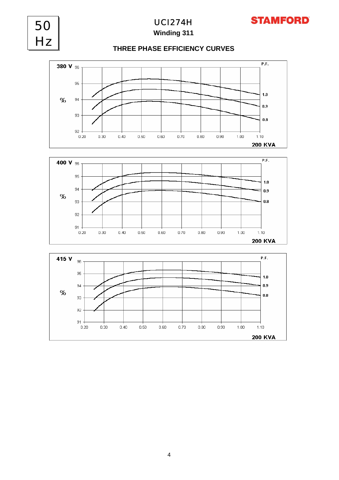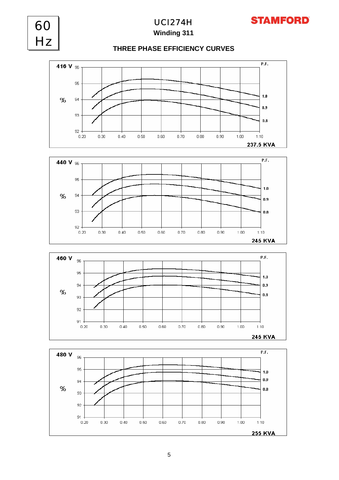

**Winding 311** UCI274H

**STAMFORD** 

60





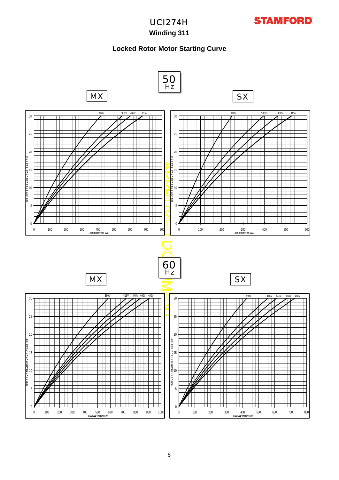# **Winding 311**

## **Locked Rotor Motor Starting Curve**

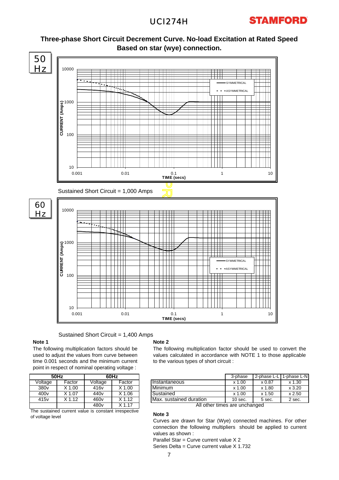## UCI274H





Sustained Short Circuit = 1,400 Amps

#### **Note 1**

The following multiplication factors should be used to adjust the values from curve between time 0.001 seconds and the minimum current point in respect of nominal operating voltage :

|                                                      | <b>50Hz</b> | 60Hz             |          |  |  |  |  |
|------------------------------------------------------|-------------|------------------|----------|--|--|--|--|
| Voltage                                              | Factor      | Voltage          | Factor   |  |  |  |  |
| 380 <sub>v</sub>                                     | $X$ 1.00    | 416 <sub>v</sub> | $X$ 1.00 |  |  |  |  |
| 400 <sub>v</sub>                                     | $X$ 1.07    | 440 <sub>v</sub> | $X$ 1.06 |  |  |  |  |
| 415 <sub>v</sub>                                     | $X$ 1.12    | 460 <sub>v</sub> | $X$ 1.12 |  |  |  |  |
|                                                      |             | 480 <sub>v</sub> | $X$ 1.17 |  |  |  |  |
| The quotained qurrent value is constant irrespective |             |                  |          |  |  |  |  |

The sustained current value is constant irrespective of voltage level

#### **Note 2**

The following multiplication factor should be used to convert the values calculated in accordance with NOTE 1 to those applicable to the various types of short circuit :

| 60Hz |        |                         | 3-phase   | 2-phase L-L | 1-phase L-NI |
|------|--------|-------------------------|-----------|-------------|--------------|
| ge   | Factor | Instantaneous           | $x$ 1.00  | x 0.87      | $x\,1.30$    |
|      | X 1.00 | Minimum                 | $x$ 1.00  | x 1.80      | x3.20        |
|      | X 1.06 | Sustained               | $x$ 1.00  | x 1.50      | x 2.50       |
|      | 1.12   | Max. sustained duration | $10$ sec. | 5 sec.      | 2 sec.       |

All other times are unchanged

#### **Note 3**

Curves are drawn for Star (Wye) connected machines. For other connection the following multipliers should be applied to current values as shown :

Parallel Star = Curve current value X 2 Series Delta = Curve current value X 1.732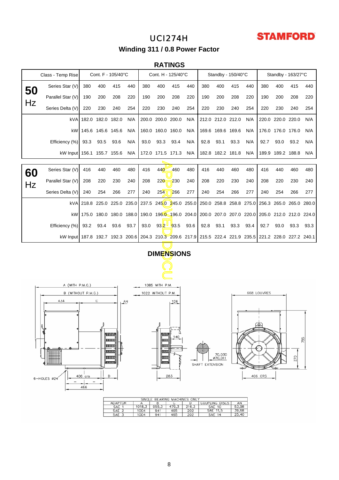# UCI274H



**Winding 311 / 0.8 Power Factor**

### **RATINGS**

|                                   | Class - Temp Rise                                                                                        |      | Cont. F - 105/40°C         |      |                |                                                 | Cont. H - 125/40°C |             |      |      |                   | Standby - 150/40°C      |      |             |                   | Standby - 163/27°C                                                      |      |
|-----------------------------------|----------------------------------------------------------------------------------------------------------|------|----------------------------|------|----------------|-------------------------------------------------|--------------------|-------------|------|------|-------------------|-------------------------|------|-------------|-------------------|-------------------------------------------------------------------------|------|
| 50                                | Series Star (V)                                                                                          | 380  | 400                        | 415  | 440            | 380                                             | 400                | 415         | 440  | 380  | 400               | 415                     | 440  | 380         | 400               | 415                                                                     | 440  |
|                                   | Parallel Star (V)                                                                                        | 190  | 200                        | 208  | 220            | 190                                             | 200                | 208         | 220  | 190  | 200               | 208                     | 220  | 190         | 200               | 208                                                                     | 220  |
| Hz                                | Series Delta (V)                                                                                         | 220  | 230                        | 240  | 254            | 220                                             | 230                | 240         | 254  | 220  | 230               | 240                     | 254  | 220         | 230               | 240                                                                     | 254  |
|                                   | kVA                                                                                                      |      | 182.0 182.0 182.0          |      | N/A            |                                                 | 200.0 200.0 200.0  |             | N/A  |      | 212.0 212.0 212.0 |                         | N/A  |             | 220.0 220.0 220.0 |                                                                         | N/A  |
|                                   | kW1                                                                                                      |      | 145.6 145.6 145.6          |      | N/A            |                                                 | 160.0 160.0 160.0  |             | N/A  |      | 169.6 169.6 169.6 |                         | N/A  |             | 176.0 176.0 176.0 |                                                                         | N/A  |
|                                   | Efficiency (%)                                                                                           | 93.3 | 93.5                       | 93.6 | N/A            | 93.0                                            | 93.3               | 93.4        | N/A  | 92.8 | 93.1              | 93.3                    | N/A  | 92.7        | 93.0              | 93.2                                                                    | N/A  |
|                                   | kW Input 156.1 155.7 155.6                                                                               |      |                            |      | N/A            |                                                 | 172.0 171.5 171.3  |             | N/A  |      |                   | 182.8 182.2 181.8       | N/A  |             | 189.9 189.2 188.8 |                                                                         | N/A  |
|                                   |                                                                                                          |      |                            |      |                |                                                 |                    |             |      |      |                   |                         |      |             |                   |                                                                         |      |
| 60                                | Series Star (V)                                                                                          | 416  | 440                        | 460  | 480            | 416                                             | 440                | 460         | 480  | 416  | 440               | 460                     | 480  | 416         | 440               | 460                                                                     | 480  |
| Hz                                | Parallel Star (V)                                                                                        | 208  | 220                        | 230  | 240            | 208                                             | 220                | 230         | 240  | 208  | 220               | 230                     | 240  | 208         | 220               | 230                                                                     | 240  |
|                                   | Series Delta (V)                                                                                         | 240  | 254                        | 266  | 277            | 240                                             | 254                | 266         | 277  | 240  | 254               | 266                     | 277  | 240         | 254               | 266                                                                     | 277  |
|                                   | kVA                                                                                                      |      |                            |      |                | 218.8 225.0 225.0 235.0 237.5 245.0 245.0 255.0 |                    |             |      |      |                   | 250.0 258.8 258.8 275.0 |      |             |                   | 256.3 265.0 265.0 280.0                                                 |      |
|                                   |                                                                                                          |      | kW 175.0 180.0 180.0 188.0 |      |                |                                                 |                    |             |      |      |                   |                         |      |             |                   | 190.0 196.0 196.0 204.0 200.0 207.0 207.0 220.0 205.0 212.0 212.0 224.0 |      |
|                                   | Efficiency (%)                                                                                           | 93.2 | 93.4                       | 93.6 | 93.7           | 93.0                                            |                    | $93.2$ 93.5 | 93.6 | 92.8 | 93.1              | 93.3                    | 93.4 | 92.7        | 93.0              | 93.3                                                                    | 93.3 |
|                                   | kW Input 187.8 192.7 192.3 200.6 204.3 210.3 209.6 217.9 215.5 222.4 221.9 235.5 221.2 228.0 227.2 240.1 |      |                            |      |                |                                                 |                    |             |      |      |                   |                         |      |             |                   |                                                                         |      |
|                                   |                                                                                                          |      |                            |      |                |                                                 |                    |             |      |      |                   |                         |      |             |                   |                                                                         |      |
|                                   |                                                                                                          |      |                            |      |                |                                                 | <b>DIMENSIONS</b>  |             |      |      |                   |                         |      |             |                   |                                                                         |      |
|                                   |                                                                                                          |      |                            |      |                |                                                 |                    |             |      |      |                   |                         |      |             |                   |                                                                         |      |
| A (WITH P.M.G.)<br>1085 WITH P.M. |                                                                                                          |      |                            |      |                |                                                 |                    |             |      |      |                   |                         |      |             |                   |                                                                         |      |
|                                   | B (WITHOUT P.M.G.)                                                                                       |      |                            |      |                |                                                 | 1022 WITHOUT P.M.  |             |      |      |                   |                         |      | 668 LOUVRES |                   |                                                                         |      |
|                                   | 434                                                                                                      |      | С                          |      | A <sup>N</sup> |                                                 |                    | 126         |      |      |                   |                         |      |             |                   |                                                                         |      |
|                                   |                                                                                                          |      |                            |      |                |                                                 |                    |             |      |      |                   |                         |      |             |                   |                                                                         |      |



| SINGLE<br>BEARING MACHINES ONLY |        |       |       |       |                  |       |  |  |  |  |
|---------------------------------|--------|-------|-------|-------|------------------|-------|--|--|--|--|
| ADAPTOR                         |        | в     |       |       | COUPLING DISCS   | AN    |  |  |  |  |
| <b>SAE</b>                      | 1018.3 | 955.3 | 479.3 | 216.3 | SAE 10           | 53.98 |  |  |  |  |
| SAE 2                           | 1004   | 941   | 465   | 202   | SAE 11.5         | 39.68 |  |  |  |  |
| SAE                             | 1004   | 941   | 465   | 202   | <b>SAE</b><br>14 | 25,40 |  |  |  |  |